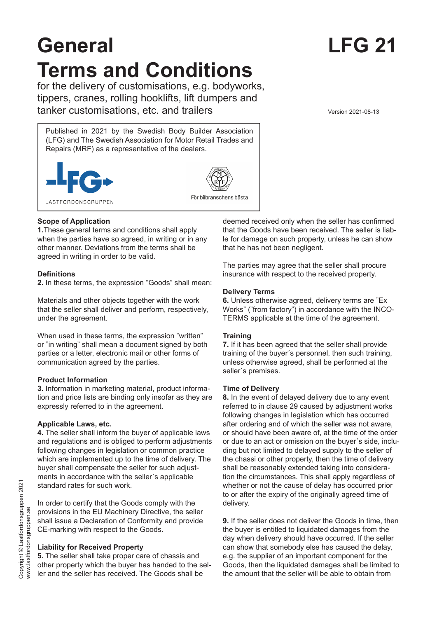# **General LFG 21 Terms and Conditions**

for the delivery of customisations, e.g. bodyworks, tippers, cranes, rolling hooklifts, lift dumpers and tanker customisations, etc. and trailers version 2021-08-13

Published in 2021 by the Swedish Body Builder Association (LFG) and The Swedish Association for Motor Retail Trades and Repairs (MRF) as a representative of the dealers.





För bilbranschens bästa

# **Scope of Application**

**1.**These general terms and conditions shall apply when the parties have so agreed, in writing or in any other manner. Deviations from the terms shall be agreed in writing in order to be valid.

# **Definitions**

**2.** In these terms, the expression "Goods" shall mean:

Materials and other objects together with the work that the seller shall deliver and perform, respectively, under the agreement.

When used in these terms, the expression "written" or "in writing" shall mean a document signed by both parties or a letter, electronic mail or other forms of communication agreed by the parties.

# **Product Information**

**3.** Information in marketing material, product information and price lists are binding only insofar as they are expressly referred to in the agreement.

### **Applicable Laws, etc.**

**4.** The seller shall inform the buyer of applicable laws and regulations and is obliged to perform adjustments following changes in legislation or common practice which are implemented up to the time of delivery. The buyer shall compensate the seller for such adjustments in accordance with the seller´s applicable standard rates for such work.

In order to certify that the Goods comply with the provisions in the EU Machinery Directive, the seller shall issue a Declaration of Conformity and provide CE-marking with respect to the Goods.

# **Liability for Received Property**

**5.** The seller shall take proper care of chassis and other property which the buyer has handed to the seller and the seller has received. The Goods shall be

deemed received only when the seller has confirmed that the Goods have been received. The seller is liable for damage on such property, unless he can show that he has not been negligent.

The parties may agree that the seller shall procure insurance with respect to the received property.

# **Delivery Terms**

**6.** Unless otherwise agreed, delivery terms are "Ex Works" ("from factory") in accordance with the INCO-TERMS applicable at the time of the agreement.

# **Training**

**7.** If it has been agreed that the seller shall provide training of the buyer´s personnel, then such training, unless otherwise agreed, shall be performed at the seller´s premises.

### **Time of Delivery**

**8.** In the event of delayed delivery due to any event referred to in clause 29 caused by adjustment works following changes in legislation which has occurred after ordering and of which the seller was not aware, or should have been aware of, at the time of the order or due to an act or omission on the buyer´s side, including but not limited to delayed supply to the seller of the chassi or other property, then the time of delivery shall be reasonably extended taking into consideration the circumstances. This shall apply regardless of whether or not the cause of delay has occurred prior to or after the expiry of the originally agreed time of delivery.

**9.** If the seller does not deliver the Goods in time, then the buyer is entitled to liquidated damages from the day when delivery should have occurred. If the seller can show that somebody else has caused the delay, e.g. the supplier of an important component for the Goods, then the liquidated damages shall be limited to the amount that the seller will be able to obtain from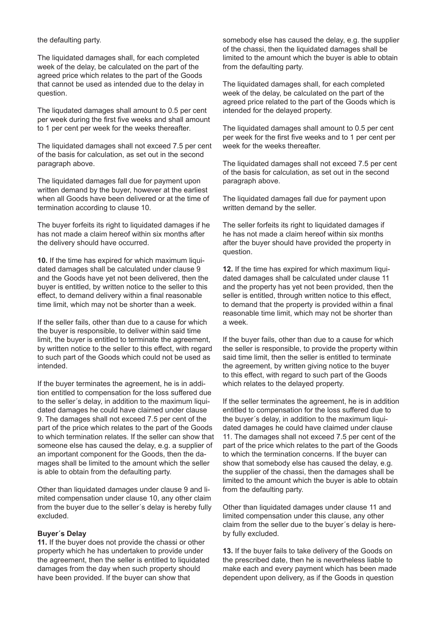the defaulting party.

The liquidated damages shall, for each completed week of the delay, be calculated on the part of the agreed price which relates to the part of the Goods that cannot be used as intended due to the delay in question.

The liqudated damages shall amount to 0.5 per cent per week during the first five weeks and shall amount to 1 per cent per week for the weeks thereafter.

The liquidated damages shall not exceed 7.5 per cent of the basis for calculation, as set out in the second paragraph above.

The liquidated damages fall due for payment upon written demand by the buyer, however at the earliest when all Goods have been delivered or at the time of termination according to clause 10.

The buyer forfeits its right to liquidated damages if he has not made a claim hereof within six months after the delivery should have occurred.

**10.** If the time has expired for which maximum liquidated damages shall be calculated under clause 9 and the Goods have yet not been delivered, then the buyer is entitled, by written notice to the seller to this effect, to demand delivery within a final reasonable time limit, which may not be shorter than a week.

If the seller fails, other than due to a cause for which the buyer is responsible, to deliver within said time limit, the buyer is entitled to terminate the agreement, by written notice to the seller to this effect, with regard to such part of the Goods which could not be used as intended.

If the buyer terminates the agreement, he is in addition entitled to compensation for the loss suffered due to the seller´s delay, in addition to the maximum liquidated damages he could have claimed under clause 9. The damages shall not exceed 7.5 per cent of the part of the price which relates to the part of the Goods to which termination relates. If the seller can show that someone else has caused the delay, e.g. a supplier of an important component for the Goods, then the damages shall be limited to the amount which the seller is able to obtain from the defaulting party.

Other than liquidated damages under clause 9 and limited compensation under clause 10, any other claim from the buyer due to the seller´s delay is hereby fully excluded.

#### **Buyer´s Delay**

**11.** If the buyer does not provide the chassi or other property which he has undertaken to provide under the agreement, then the seller is entitled to liquidated damages from the day when such property should have been provided. If the buyer can show that

somebody else has caused the delay, e.g. the supplier of the chassi, then the liquidated damages shall be limited to the amount which the buyer is able to obtain from the defaulting party.

The liquidated damages shall, for each completed week of the delay, be calculated on the part of the agreed price related to the part of the Goods which is intended for the delayed property.

The liquidated damages shall amount to 0.5 per cent per week for the first five weeks and to 1 per cent per week for the weeks thereafter.

The liquidated damages shall not exceed 7.5 per cent of the basis for calculation, as set out in the second paragraph above.

The liquidated damages fall due for payment upon written demand by the seller.

The seller forfeits its right to liquidated damages if he has not made a claim hereof within six months after the buyer should have provided the property in question.

**12.** If the time has expired for which maximum liquidated damages shall be calculated under clause 11 and the property has yet not been provided, then the seller is entitled, through written notice to this effect, to demand that the property is provided within a final reasonable time limit, which may not be shorter than a week.

If the buyer fails, other than due to a cause for which the seller is responsible, to provide the property within said time limit, then the seller is entitled to terminate the agreement, by written giving notice to the buyer to this effect, with regard to such part of the Goods which relates to the delayed property.

If the seller terminates the agreement, he is in addition entitled to compensation for the loss suffered due to the buyer´s delay, in addition to the maximum liquidated damages he could have claimed under clause 11. The damages shall not exceed 7.5 per cent of the part of the price which relates to the part of the Goods to which the termination concerns. If the buyer can show that somebody else has caused the delay, e.g. the supplier of the chassi, then the damages shall be limited to the amount which the buyer is able to obtain from the defaulting party.

Other than liquidated damages under clause 11 and limited compensation under this clause, any other claim from the seller due to the buyer´s delay is hereby fully excluded.

**13.** If the buyer fails to take delivery of the Goods on the prescribed date, then he is nevertheless liable to make each and every payment which has been made dependent upon delivery, as if the Goods in question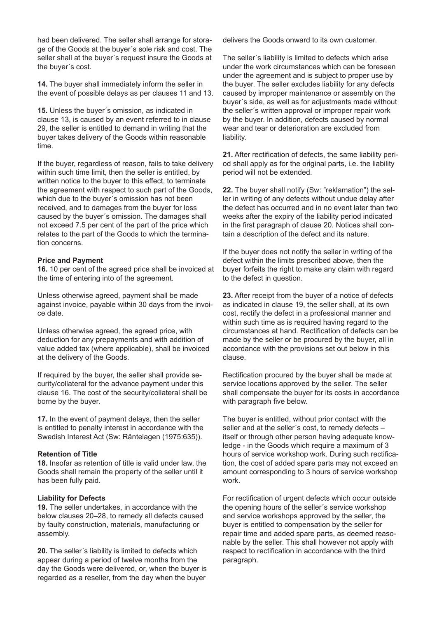had been delivered. The seller shall arrange for storage of the Goods at the buyer´s sole risk and cost. The seller shall at the buyer´s request insure the Goods at the buyer´s cost.

**14.** The buyer shall immediately inform the seller in the event of possible delays as per clauses 11 and 13.

**15.** Unless the buyer´s omission, as indicated in clause 13, is caused by an event referred to in clause 29, the seller is entitled to demand in writing that the buyer takes delivery of the Goods within reasonable time.

If the buyer, regardless of reason, fails to take delivery within such time limit, then the seller is entitled, by written notice to the buyer to this effect, to terminate the agreement with respect to such part of the Goods, which due to the buyer´s omission has not been received, and to damages from the buyer for loss caused by the buyer´s omission. The damages shall not exceed 7.5 per cent of the part of the price which relates to the part of the Goods to which the termination concerns.

#### **Price and Payment**

**16.** 10 per cent of the agreed price shall be invoiced at the time of entering into of the agreement.

Unless otherwise agreed, payment shall be made against invoice, payable within 30 days from the invoice date.

Unless otherwise agreed, the agreed price, with deduction for any prepayments and with addition of value added tax (where applicable), shall be invoiced at the delivery of the Goods.

If required by the buyer, the seller shall provide security/collateral for the advance payment under this clause 16. The cost of the security/collateral shall be borne by the buyer.

**17.** In the event of payment delays, then the seller is entitled to penalty interest in accordance with the Swedish Interest Act (Sw: Räntelagen (1975:635)).

#### **Retention of Title**

**18.** Insofar as retention of title is valid under law, the Goods shall remain the property of the seller until it has been fully paid.

#### **Liability for Defects**

**19.** The seller undertakes, in accordance with the below clauses 20–28, to remedy all defects caused by faulty construction, materials, manufacturing or assembly.

**20.** The seller´s liability is limited to defects which appear during a period of twelve months from the day the Goods were delivered, or, when the buyer is regarded as a reseller, from the day when the buyer

delivers the Goods onward to its own customer.

The seller´s liability is limited to defects which arise under the work circumstances which can be foreseen under the agreement and is subject to proper use by the buyer. The seller excludes liability for any defects caused by improper maintenance or assembly on the buyer´s side, as well as for adjustments made without the seller´s written approval or improper repair work by the buyer. In addition, defects caused by normal wear and tear or deterioration are excluded from liability.

**21.** After rectification of defects, the same liability period shall apply as for the original parts, i.e. the liability period will not be extended.

**22.** The buyer shall notify (Sw: "reklamation") the seller in writing of any defects without undue delay after the defect has occurred and in no event later than two weeks after the expiry of the liability period indicated in the first paragraph of clause 20. Notices shall contain a description of the defect and its nature.

If the buyer does not notify the seller in writing of the defect within the limits prescribed above, then the buyer forfeits the right to make any claim with regard to the defect in question.

**23.** After receipt from the buyer of a notice of defects as indicated in clause 19, the seller shall, at its own cost, rectify the defect in a professional manner and within such time as is required having regard to the circumstances at hand. Rectification of defects can be made by the seller or be procured by the buyer, all in accordance with the provisions set out below in this clause.

Rectification procured by the buyer shall be made at service locations approved by the seller. The seller shall compensate the buyer for its costs in accordance with paragraph five below.

The buyer is entitled, without prior contact with the seller and at the seller´s cost, to remedy defects – itself or through other person having adequate knowledge - in the Goods which require a maximum of 3 hours of service workshop work. During such rectification, the cost of added spare parts may not exceed an amount corresponding to 3 hours of service workshop work.

For rectification of urgent defects which occur outside the opening hours of the seller´s service workshop and service workshops approved by the seller, the buyer is entitled to compensation by the seller for repair time and added spare parts, as deemed reasonable by the seller. This shall however not apply with respect to rectification in accordance with the third paragraph.